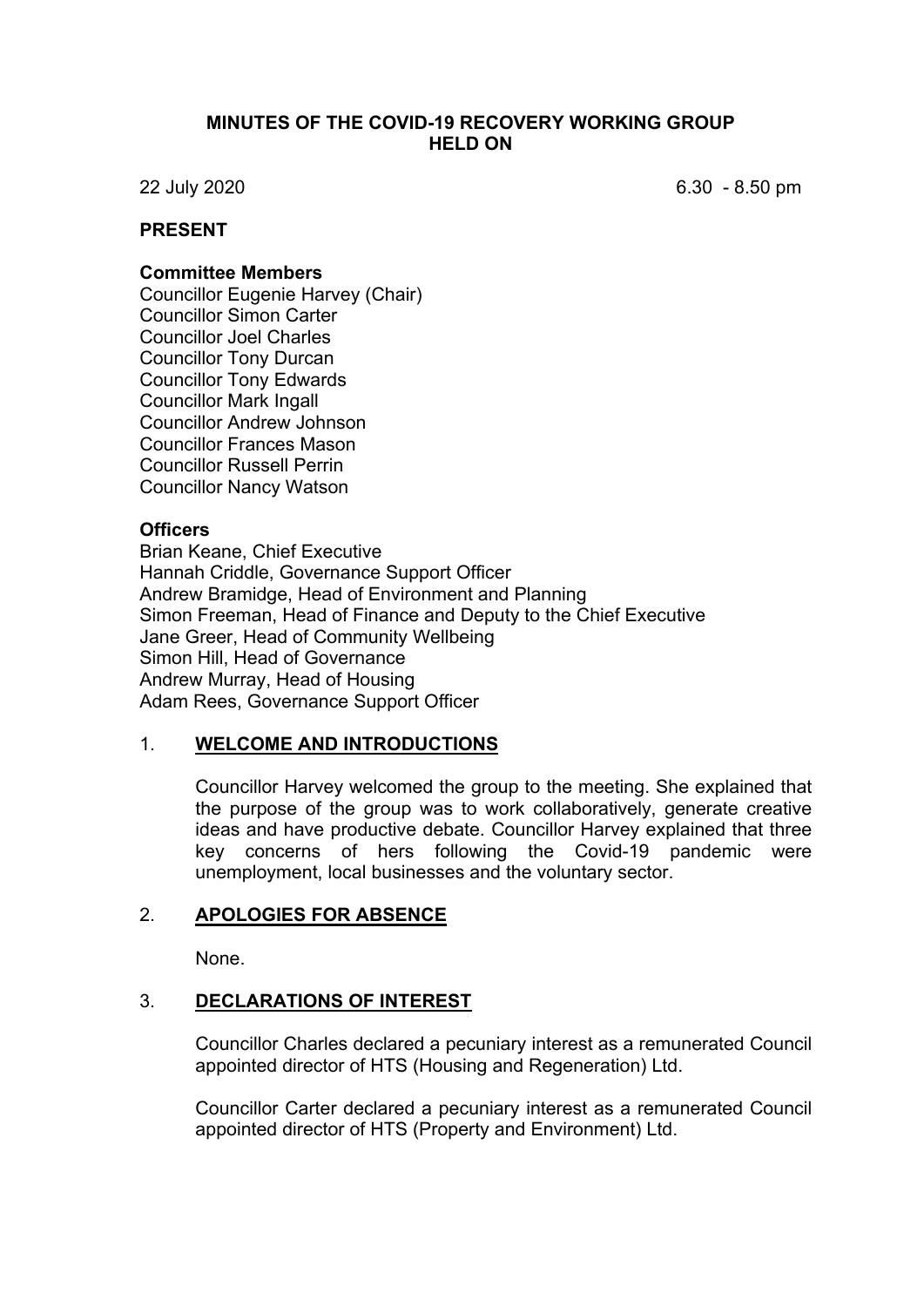### **MINUTES OF THE COVID-19 RECOVERY WORKING GROUP HELD ON**

22 July 2020 6.30 - 8.50 pm

## **PRESENT**

#### **Committee Members**

Councillor Eugenie Harvey (Chair) Councillor Simon Carter Councillor Joel Charles Councillor Tony Durcan Councillor Tony Edwards Councillor Mark Ingall Councillor Andrew Johnson Councillor Frances Mason Councillor Russell Perrin Councillor Nancy Watson

### **Officers**

Brian Keane, Chief Executive Hannah Criddle, Governance Support Officer Andrew Bramidge, Head of Environment and Planning Simon Freeman, Head of Finance and Deputy to the Chief Executive Jane Greer, Head of Community Wellbeing Simon Hill, Head of Governance Andrew Murray, Head of Housing Adam Rees, Governance Support Officer

### 1. **WELCOME AND INTRODUCTIONS**

Councillor Harvey welcomed the group to the meeting. She explained that the purpose of the group was to work collaboratively, generate creative ideas and have productive debate. Councillor Harvey explained that three key concerns of hers following the Covid-19 pandemic were unemployment, local businesses and the voluntary sector.

### 2. **APOLOGIES FOR ABSENCE**

None.

### 3. **DECLARATIONS OF INTEREST**

Councillor Charles declared a pecuniary interest as a remunerated Council appointed director of HTS (Housing and Regeneration) Ltd.

Councillor Carter declared a pecuniary interest as a remunerated Council appointed director of HTS (Property and Environment) Ltd.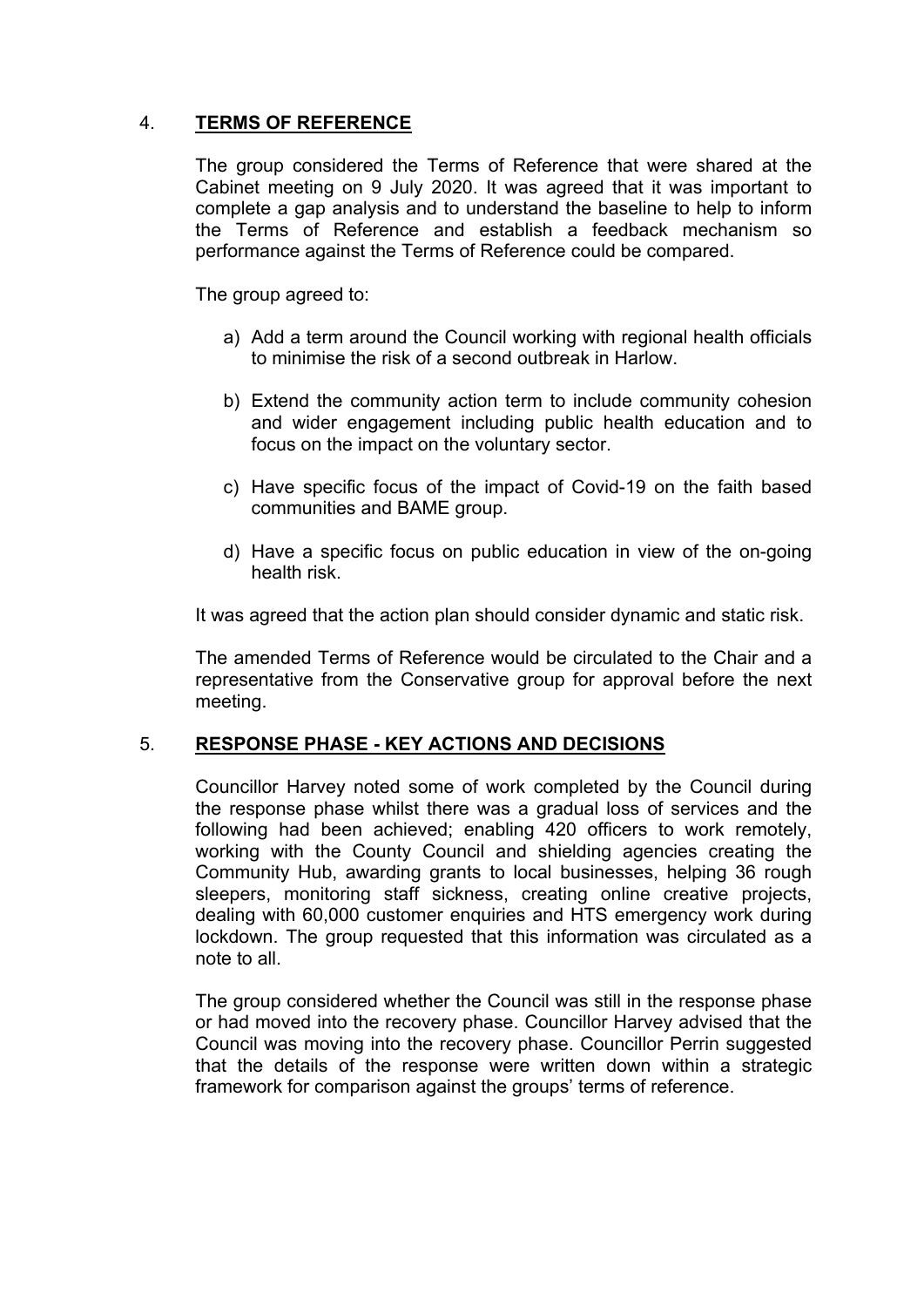# 4. **TERMS OF REFERENCE**

The group considered the Terms of Reference that were shared at the Cabinet meeting on 9 July 2020. It was agreed that it was important to complete a gap analysis and to understand the baseline to help to inform the Terms of Reference and establish a feedback mechanism so performance against the Terms of Reference could be compared.

The group agreed to:

- a) Add a term around the Council working with regional health officials to minimise the risk of a second outbreak in Harlow.
- b) Extend the community action term to include community cohesion and wider engagement including public health education and to focus on the impact on the voluntary sector.
- c) Have specific focus of the impact of Covid-19 on the faith based communities and BAME group.
- d) Have a specific focus on public education in view of the on-going health risk.

It was agreed that the action plan should consider dynamic and static risk.

The amended Terms of Reference would be circulated to the Chair and a representative from the Conservative group for approval before the next meeting.

## 5. **RESPONSE PHASE - KEY ACTIONS AND DECISIONS**

Councillor Harvey noted some of work completed by the Council during the response phase whilst there was a gradual loss of services and the following had been achieved; enabling 420 officers to work remotely, working with the County Council and shielding agencies creating the Community Hub, awarding grants to local businesses, helping 36 rough sleepers, monitoring staff sickness, creating online creative projects, dealing with 60,000 customer enquiries and HTS emergency work during lockdown. The group requested that this information was circulated as a note to all.

The group considered whether the Council was still in the response phase or had moved into the recovery phase. Councillor Harvey advised that the Council was moving into the recovery phase. Councillor Perrin suggested that the details of the response were written down within a strategic framework for comparison against the groups' terms of reference.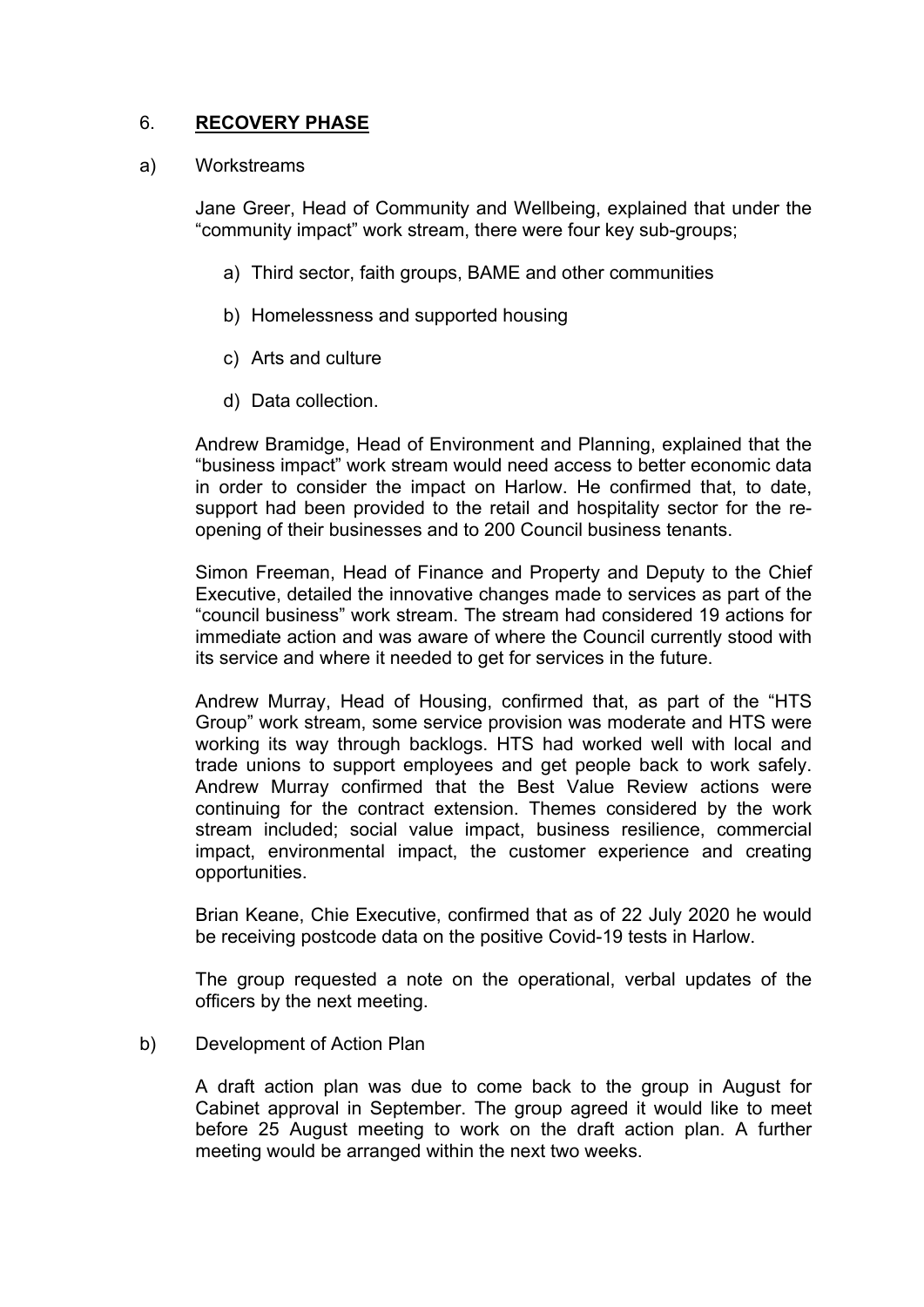# 6. **RECOVERY PHASE**

#### a) Workstreams

Jane Greer, Head of Community and Wellbeing, explained that under the "community impact" work stream, there were four key sub-groups;

- a) Third sector, faith groups, BAME and other communities
- b) Homelessness and supported housing
- c) Arts and culture
- d) Data collection.

Andrew Bramidge, Head of Environment and Planning, explained that the "business impact" work stream would need access to better economic data in order to consider the impact on Harlow. He confirmed that, to date, support had been provided to the retail and hospitality sector for the reopening of their businesses and to 200 Council business tenants.

Simon Freeman, Head of Finance and Property and Deputy to the Chief Executive, detailed the innovative changes made to services as part of the "council business" work stream. The stream had considered 19 actions for immediate action and was aware of where the Council currently stood with its service and where it needed to get for services in the future.

Andrew Murray, Head of Housing, confirmed that, as part of the "HTS Group" work stream, some service provision was moderate and HTS were working its way through backlogs. HTS had worked well with local and trade unions to support employees and get people back to work safely. Andrew Murray confirmed that the Best Value Review actions were continuing for the contract extension. Themes considered by the work stream included; social value impact, business resilience, commercial impact, environmental impact, the customer experience and creating opportunities.

Brian Keane, Chie Executive, confirmed that as of 22 July 2020 he would be receiving postcode data on the positive Covid-19 tests in Harlow.

The group requested a note on the operational, verbal updates of the officers by the next meeting.

### b) Development of Action Plan

A draft action plan was due to come back to the group in August for Cabinet approval in September. The group agreed it would like to meet before 25 August meeting to work on the draft action plan. A further meeting would be arranged within the next two weeks.